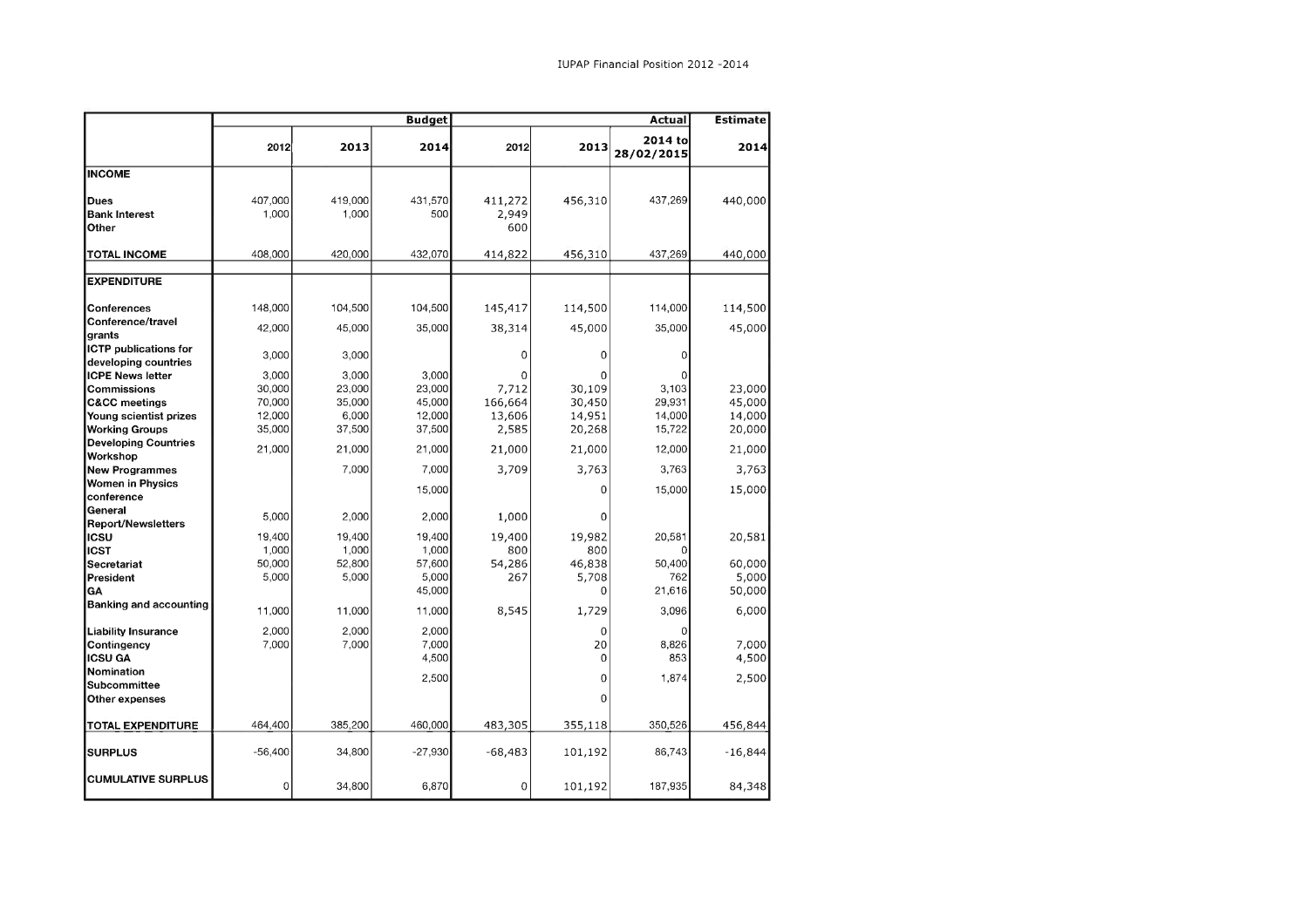|                                               |                  |                  | <b>Budget</b>   | Actual                  |               |                       | <b>Estimate</b> |
|-----------------------------------------------|------------------|------------------|-----------------|-------------------------|---------------|-----------------------|-----------------|
|                                               | 2012             | 2013             | 2014            | 2012                    | 2013          | 2014 to<br>28/02/2015 | 2014            |
| <b>INCOME</b>                                 |                  |                  |                 |                         |               |                       |                 |
| <b>Dues</b><br><b>Bank Interest</b><br>Other  | 407,000<br>1,000 | 419,000<br>1,000 | 431,570<br>500  | 411,272<br>2,949<br>600 | 456,310       | 437,269               | 440,000         |
| <b>TOTAL INCOME</b>                           | 408,000          | 420,000          | 432,070         | 414,822                 | 456,310       | 437,269               | 440,000         |
|                                               |                  |                  |                 |                         |               |                       |                 |
| <b>EXPENDITURE</b>                            |                  |                  |                 |                         |               |                       |                 |
| <b>Conferences</b><br>Conference/travel       | 148,000          | 104,500          | 104,500         | 145,417                 | 114,500       | 114,000               | 114,500         |
| grants                                        | 42,000           | 45,000           | 35,000          | 38,314                  | 45,000        | 35,000                | 45,000          |
| ICTP publications for<br>developing countries | 3,000            | 3,000            |                 | 0                       | 0             | 0                     |                 |
| <b>ICPE News letter</b>                       | 3,000            | 3.000            | 3,000           | 0                       | 0             |                       |                 |
| Commissions                                   | 30,000           | 23,000           | 23,000          | 7,712                   | 30,109        | 3,103                 | 23,000          |
| <b>C&amp;CC</b> meetings                      | 70,000           | 35,000           | 45,000          | 166,664                 | 30,450        | 29,931                | 45,000          |
| Young scientist prizes                        | 12,000           | 6,000            | 12,000          | 13,606                  | 14,951        | 14,000                | 14,000          |
| <b>Working Groups</b>                         | 35,000           | 37,500           | 37,500          | 2,585                   | 20,268        | 15,722                | 20,000          |
| <b>Developing Countries</b><br>Workshop       | 21,000           | 21,000           | 21,000          | 21,000                  | 21,000        | 12,000                | 21,000          |
| <b>New Programmes</b>                         |                  | 7,000            | 7,000           | 3,709                   | 3,763         | 3,763                 | 3,763           |
| <b>Women in Physics</b>                       |                  |                  |                 |                         |               |                       |                 |
| conference                                    |                  |                  | 15,000          |                         | 0             | 15,000                | 15,000          |
| General                                       | 5,000            | 2,000            | 2,000           | 1,000                   | 0             |                       |                 |
| <b>Report/Newsletters</b>                     |                  |                  |                 |                         |               |                       |                 |
| ∣ıcs∪                                         | 19,400           | 19,400           | 19,400          | 19,400                  | 19,982        | 20,581                | 20,581          |
| licst<br>Secretariat                          | 1,000<br>50,000  | 1,000<br>52,800  | 1,000<br>57,600 | 800<br>54,286           | 800<br>46,838 | $\Omega$<br>50,400    | 60,000          |
| President                                     | 5,000            | 5,000            | 5,000           | 267                     | 5,708         | 762                   | 5,000           |
| GA                                            |                  |                  | 45,000          |                         | 0             | 21,616                | 50,000          |
| <b>Banking and accounting</b>                 | 11,000           | 11,000           | 11,000          | 8,545                   | 1,729         | 3.096                 | 6,000           |
| <b>Liability Insurance</b><br>Contingency     | 2,000<br>7,000   | 2,000<br>7,000   | 2,000<br>7,000  |                         | 0<br>20       | 0<br>8,826            | 7,000           |
| <b>ICSU GA</b>                                |                  |                  | 4,500           |                         | 0             | 853                   | 4,500           |
| Nomination                                    |                  |                  | 2,500           |                         | 0             | 1,874                 | 2,500           |
| <b>Subcommittee</b><br>Other expenses         |                  |                  |                 |                         | 0             |                       |                 |
| <b>TOTAL EXPENDITURE</b>                      | 464,400          | 385,200          | 460,000         | 483,305                 | 355,118       | 350,526               | 456,844         |
|                                               |                  |                  |                 |                         |               |                       |                 |
| <b>SURPLUS</b>                                | $-56,400$        | 34,800           | $-27,930$       | $-68,483$               | 101,192       | 86,743                | $-16,844$       |
| <b>CUMULATIVE SURPLUS</b>                     | 0                | 34,800           | 6,870           | 0                       | 101,192       | 187,935               | 84,348          |